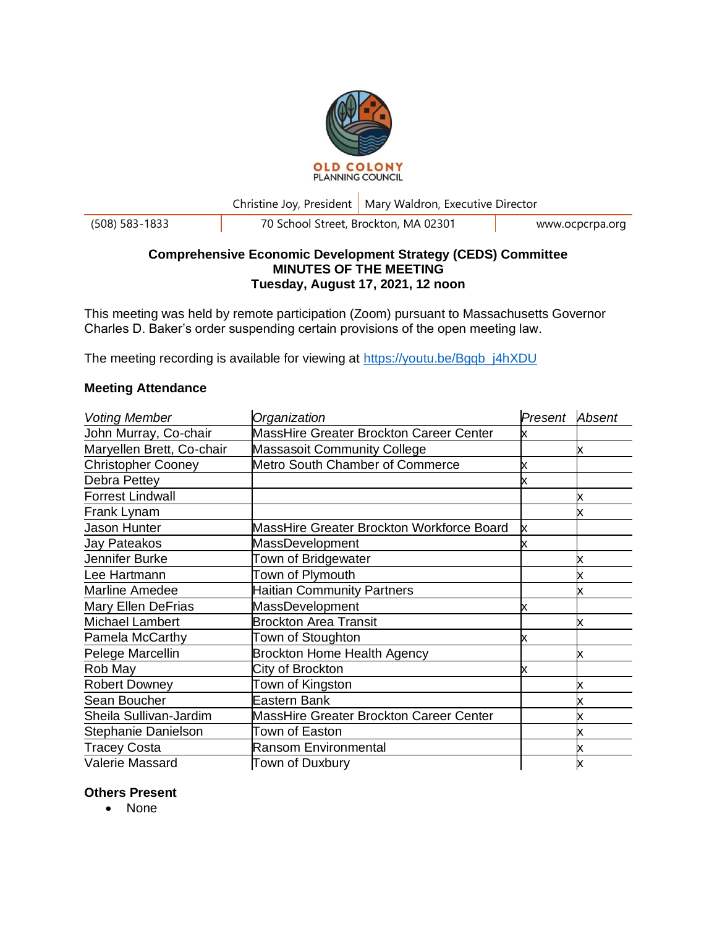

Christine Joy, President | Mary Waldron, Executive Director

(508) 583-1833 70 School Street, Brockton, MA 02301 www.ocpcrpa.org

# **Comprehensive Economic Development Strategy (CEDS) Committee MINUTES OF THE MEETING Tuesday, August 17, 2021, 12 noon**

This meeting was held by remote participation (Zoom) pursuant to Massachusetts Governor Charles D. Baker's order suspending certain provisions of the open meeting law.

The meeting recording is available for viewing at [https://youtu.be/Bgqb\\_j4hXDU](https://youtu.be/Bgqb_j4hXDU)

# **Meeting Attendance**

| <b>Voting Member</b>      | Organization                                   | Present | Absent |
|---------------------------|------------------------------------------------|---------|--------|
| John Murray, Co-chair     | MassHire Greater Brockton Career Center        | x       |        |
| Maryellen Brett, Co-chair | <b>Massasoit Community College</b>             |         | х      |
| <b>Christopher Cooney</b> | Metro South Chamber of Commerce                | x       |        |
| Debra Pettey              |                                                | х       |        |
| <b>Forrest Lindwall</b>   |                                                |         | х      |
| Frank Lynam               |                                                |         |        |
| Jason Hunter              | MassHire Greater Brockton Workforce Board      | х       |        |
| Jay Pateakos              | MassDevelopment                                |         |        |
| Jennifer Burke            | Town of Bridgewater                            |         |        |
| Lee Hartmann              | Town of Plymouth                               |         |        |
| <b>Marline Amedee</b>     | <b>Haitian Community Partners</b>              |         | х      |
| <b>Mary Ellen DeFrias</b> | <b>MassDevelopment</b>                         | x       |        |
| <b>Michael Lambert</b>    | <b>Brockton Area Transit</b>                   |         | х      |
| Pamela McCarthy           | Town of Stoughton                              | x       |        |
| Pelege Marcellin          | <b>Brockton Home Health Agency</b>             |         | x      |
| Rob May                   | City of Brockton                               | x       |        |
| <b>Robert Downey</b>      | Town of Kingston                               |         | х      |
| Sean Boucher              | Eastern Bank                                   |         |        |
| Sheila Sullivan-Jardim    | <b>MassHire Greater Brockton Career Center</b> |         |        |
| Stephanie Danielson       | Town of Easton                                 |         |        |
| <b>Tracey Costa</b>       | <b>Ransom Environmental</b>                    |         |        |
| Valerie Massard           | Town of Duxbury                                |         | x      |

### **Others Present**

• None